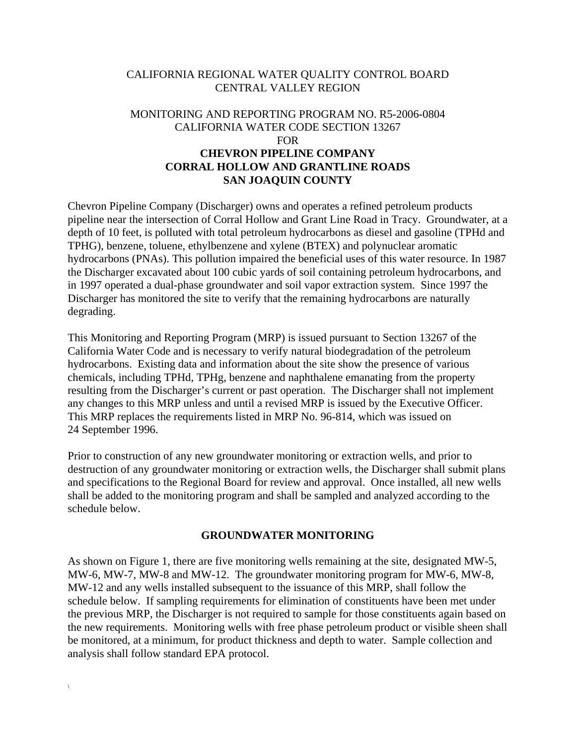## CALIFORNIA REGIONAL WATER QUALITY CONTROL BOARD CENTRAL VALLEY REGION

## MONITORING AND REPORTING PROGRAM NO. R5-2006-0804 CALIFORNIA WATER CODE SECTION 13267 FOR **CHEVRON PIPELINE COMPANY CORRAL HOLLOW AND GRANTLINE ROADS SAN JOAQUIN COUNTY**

Chevron Pipeline Company (Discharger) owns and operates a refined petroleum products pipeline near the intersection of Corral Hollow and Grant Line Road in Tracy. Groundwater, at a depth of 10 feet, is polluted with total petroleum hydrocarbons as diesel and gasoline (TPHd and TPHG), benzene, toluene, ethylbenzene and xylene (BTEX) and polynuclear aromatic hydrocarbons (PNAs). This pollution impaired the beneficial uses of this water resource. In 1987 the Discharger excavated about 100 cubic yards of soil containing petroleum hydrocarbons, and in 1997 operated a dual-phase groundwater and soil vapor extraction system. Since 1997 the Discharger has monitored the site to verify that the remaining hydrocarbons are naturally degrading.

This Monitoring and Reporting Program (MRP) is issued pursuant to Section 13267 of the California Water Code and is necessary to verify natural biodegradation of the petroleum hydrocarbons. Existing data and information about the site show the presence of various chemicals, including TPHd, TPHg, benzene and naphthalene emanating from the property resulting from the Discharger's current or past operation. The Discharger shall not implement any changes to this MRP unless and until a revised MRP is issued by the Executive Officer. This MRP replaces the requirements listed in MRP No. 96-814, which was issued on 24 September 1996.

Prior to construction of any new groundwater monitoring or extraction wells, and prior to destruction of any groundwater monitoring or extraction wells, the Discharger shall submit plans and specifications to the Regional Board for review and approval. Once installed, all new wells shall be added to the monitoring program and shall be sampled and analyzed according to the schedule below.

## **GROUNDWATER MONITORING**

As shown on Figure 1, there are five monitoring wells remaining at the site, designated MW-5, MW-6, MW-7, MW-8 and MW-12. The groundwater monitoring program for MW-6, MW-8, MW-12 and any wells installed subsequent to the issuance of this MRP, shall follow the schedule below. If sampling requirements for elimination of constituents have been met under the previous MRP, the Discharger is not required to sample for those constituents again based on the new requirements. Monitoring wells with free phase petroleum product or visible sheen shall be monitored, at a minimum, for product thickness and depth to water. Sample collection and analysis shall follow standard EPA protocol.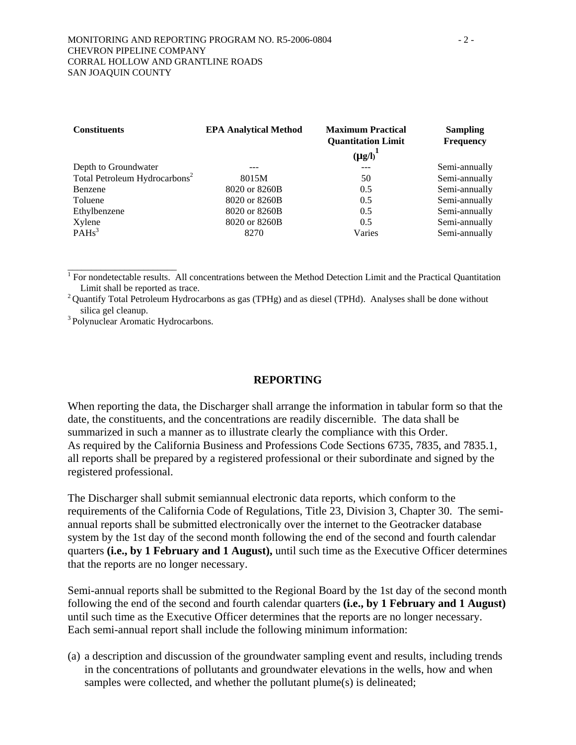| <b>Constituents</b>                       | <b>EPA Analytical Method</b> | <b>Maximum Practical</b><br><b>Quantitation Limit</b><br>$(\mu g/I)^{1}$ | <b>Sampling</b><br>Frequency |
|-------------------------------------------|------------------------------|--------------------------------------------------------------------------|------------------------------|
| Depth to Groundwater                      |                              | $---$                                                                    | Semi-annually                |
| Total Petroleum Hydrocarbons <sup>2</sup> | 8015M                        | 50                                                                       | Semi-annually                |
| Benzene                                   | 8020 or 8260B                | 0.5                                                                      | Semi-annually                |
| Toluene                                   | 8020 or 8260B                | 0.5                                                                      | Semi-annually                |
| Ethylbenzene                              | 8020 or 8260B                | 0.5                                                                      | Semi-annually                |
| Xylene                                    | 8020 or 8260B                | 0.5                                                                      | Semi-annually                |
| PAHs <sup>3</sup>                         | 8270                         | Varies                                                                   | Semi-annually                |

<sup>1</sup> For nondetectable results. All concentrations between the Method Detection Limit and the Practical Quantitation Limit shall be reported as trace.<br><sup>2</sup> Quantify Total Petroleum Hydrocarbons as gas (TPHg) and as diesel (TPHd). Analyses shall be done without

silica gel cleanup.<br><sup>3</sup> Polynuclear Aromatic Hydrocarbons.

\_\_\_\_\_\_\_\_\_\_\_\_\_\_\_\_\_\_\_\_\_\_\_

## **REPORTING**

When reporting the data, the Discharger shall arrange the information in tabular form so that the date, the constituents, and the concentrations are readily discernible. The data shall be summarized in such a manner as to illustrate clearly the compliance with this Order. As required by the California Business and Professions Code Sections 6735, 7835, and 7835.1, all reports shall be prepared by a registered professional or their subordinate and signed by the registered professional.

The Discharger shall submit semiannual electronic data reports, which conform to the requirements of the California Code of Regulations, Title 23, Division 3, Chapter 30. The semiannual reports shall be submitted electronically over the internet to the Geotracker database system by the 1st day of the second month following the end of the second and fourth calendar quarters **(i.e., by 1 February and 1 August),** until such time as the Executive Officer determines that the reports are no longer necessary.

Semi-annual reports shall be submitted to the Regional Board by the 1st day of the second month following the end of the second and fourth calendar quarters **(i.e., by 1 February and 1 August)** until such time as the Executive Officer determines that the reports are no longer necessary. Each semi-annual report shall include the following minimum information:

(a) a description and discussion of the groundwater sampling event and results, including trends in the concentrations of pollutants and groundwater elevations in the wells, how and when samples were collected, and whether the pollutant plume(s) is delineated;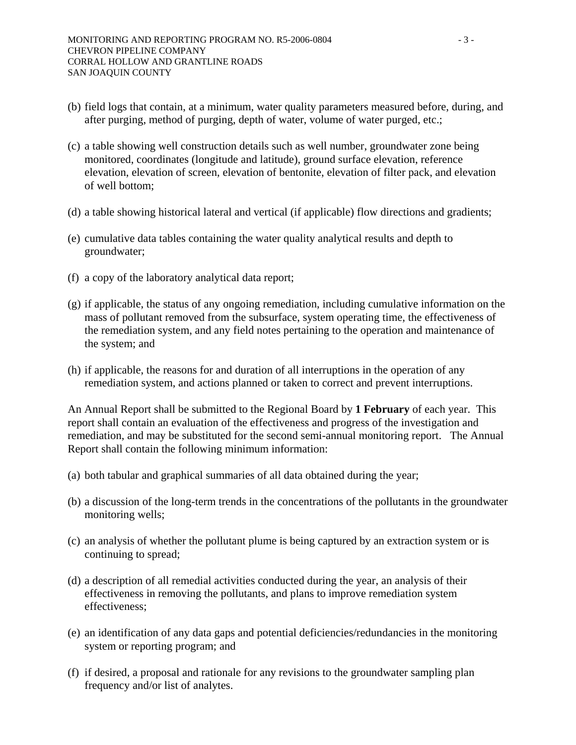- (b) field logs that contain, at a minimum, water quality parameters measured before, during, and after purging, method of purging, depth of water, volume of water purged, etc.;
- (c) a table showing well construction details such as well number, groundwater zone being monitored, coordinates (longitude and latitude), ground surface elevation, reference elevation, elevation of screen, elevation of bentonite, elevation of filter pack, and elevation of well bottom;
- (d) a table showing historical lateral and vertical (if applicable) flow directions and gradients;
- (e) cumulative data tables containing the water quality analytical results and depth to groundwater;
- (f) a copy of the laboratory analytical data report;
- (g) if applicable, the status of any ongoing remediation, including cumulative information on the mass of pollutant removed from the subsurface, system operating time, the effectiveness of the remediation system, and any field notes pertaining to the operation and maintenance of the system; and
- (h) if applicable, the reasons for and duration of all interruptions in the operation of any remediation system, and actions planned or taken to correct and prevent interruptions.

An Annual Report shall be submitted to the Regional Board by **1 February** of each year. This report shall contain an evaluation of the effectiveness and progress of the investigation and remediation, and may be substituted for the second semi-annual monitoring report. The Annual Report shall contain the following minimum information:

- (a) both tabular and graphical summaries of all data obtained during the year;
- (b) a discussion of the long-term trends in the concentrations of the pollutants in the groundwater monitoring wells;
- (c) an analysis of whether the pollutant plume is being captured by an extraction system or is continuing to spread;
- (d) a description of all remedial activities conducted during the year, an analysis of their effectiveness in removing the pollutants, and plans to improve remediation system effectiveness;
- (e) an identification of any data gaps and potential deficiencies/redundancies in the monitoring system or reporting program; and
- (f) if desired, a proposal and rationale for any revisions to the groundwater sampling plan frequency and/or list of analytes.